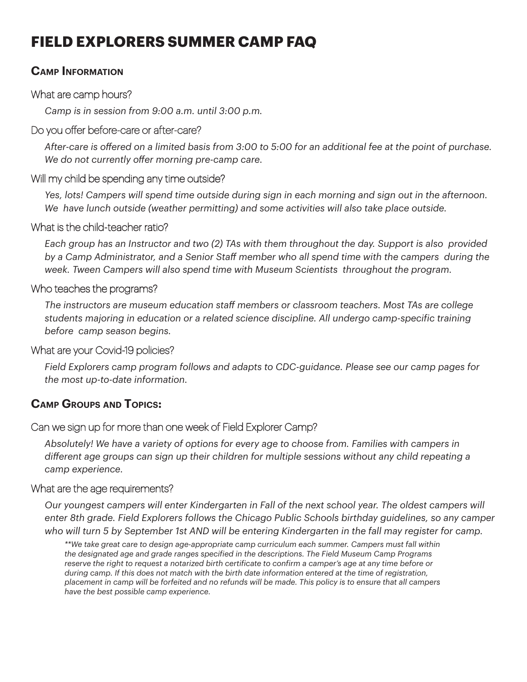# **FIELD EXPLORERS SUMMER CAMP FAQ**

#### **Camp Information**

#### What are camp hours?

*Camp is in session from 9:00 a.m. until 3:00 p.m.* 

#### Do you offer before-care or after-care?

*After-care is offered on a limited basis from 3:00 to 5:00 for an additional fee at the point of purchase. We do not currently offer morning pre-camp care.*

#### Will my child be spending any time outside?

*Yes, lots! Campers will spend time outside during sign in each morning and sign out in the afternoon. We have lunch outside (weather permitting) and some activities will also take place outside.* 

#### What is the child-teacher ratio?

*Each group has an Instructor and two (2) TAs with them throughout the day. Support is also provided by a Camp Administrator, and a Senior Staff member who all spend time with the campers during the week. Tween Campers will also spend time with Museum Scientists throughout the program.* 

#### Who teaches the programs?

*The instructors are museum education staff members or classroom teachers. Most TAs are college students majoring in education or a related science discipline. All undergo camp-specific training before camp season begins.* 

#### What are your Covid-19 policies?

*Field Explorers camp program follows and adapts to CDC-guidance. Please see our camp pages for the most up-to-date information.* 

#### **Camp Groups and Topics:**

#### Can we sign up for more than one week of Field Explorer Camp?

*Absolutely! We have a variety of options for every age to choose from. Families with campers in different age groups can sign up their children for multiple sessions without any child repeating a camp experience.* 

#### What are the age requirements?

*Our youngest campers will enter Kindergarten in Fall of the next school year. The oldest campers will enter 8th grade. Field Explorers follows the Chicago Public Schools birthday guidelines, so any camper who will turn 5 by September 1st AND will be entering Kindergarten in the fall may register for camp.* 

*\*\*We take great care to design age-appropriate camp curriculum each summer. Campers must fall within the designated age and grade ranges specified in the descriptions. The Field Museum Camp Programs reserve the right to request a notarized birth certificate to confirm a camper's age at any time before or during camp. If this does not match with the birth date information entered at the time of registration, placement in camp will be forfeited and no refunds will be made. This policy is to ensure that all campers have the best possible camp experience.*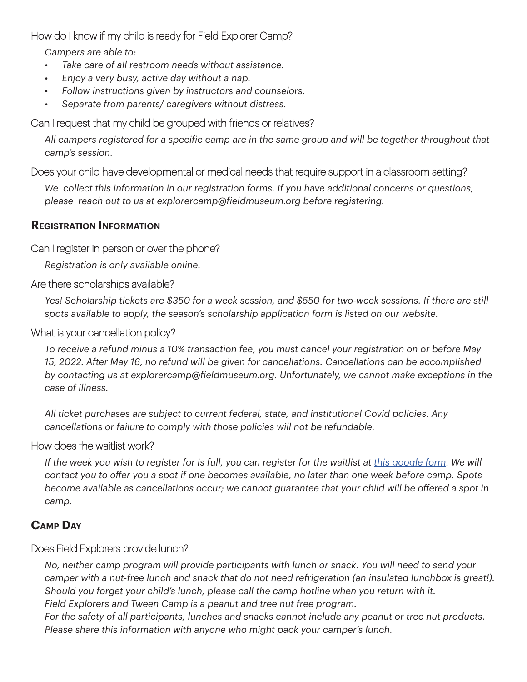#### How do I know if my child is ready for Field Explorer Camp?

*Campers are able to:* 

- *• Take care of all restroom needs without assistance.*
- *• Enjoy a very busy, active day without a nap.*
- *• Follow instructions given by instructors and counselors.*
- *• Separate from parents/ caregivers without distress.*

#### Can I request that my child be grouped with friends or relatives?

*All campers registered for a specific camp are in the same group and will be together throughout that camp's session.*

#### Does your child have developmental or medical needs that require support in a classroom setting?

*We collect this information in our registration forms. If you have additional concerns or questions, please reach out to us at explorercamp@fieldmuseum.org before registering.*

#### **Registration Information**

#### Can I register in person or over the phone?

*Registration is only available online.* 

#### Are there scholarships available?

*Yes! Scholarship tickets are \$350 for a week session, and \$550 for two-week sessions. If there are still spots available to apply, the season's scholarship application form is listed on our website.* 

#### What is your cancellation policy?

*To receive a refund minus a 10% transaction fee, you must cancel your registration on or before May 15, 2022. After May 16, no refund will be given for cancellations. Cancellations can be accomplished by contacting us at explorercamp@fieldmuseum.org. Unfortunately, we cannot make exceptions in the case of illness.*

*All ticket purchases are subject to current federal, state, and institutional Covid policies. Any cancellations or failure to comply with those policies will not be refundable.* 

#### How does the waitlist work?

*If the week you wish to register for is full, you can register for the waitlist at <i>this google form*. We will *contact you to offer you a spot if one becomes available, no later than one week before camp. Spots become available as cancellations occur; we cannot guarantee that your child will be offered a spot in camp.* 

#### **Camp Day**

#### Does Field Explorers provide lunch?

*No, neither camp program will provide participants with lunch or snack. You will need to send your camper with a nut-free lunch and snack that do not need refrigeration (an insulated lunchbox is great!). Should you forget your child's lunch, please call the camp hotline when you return with it. Field Explorers and Tween Camp is a peanut and tree nut free program.* 

*For the safety of all participants, lunches and snacks cannot include any peanut or tree nut products. Please share this information with anyone who might pack your camper's lunch.*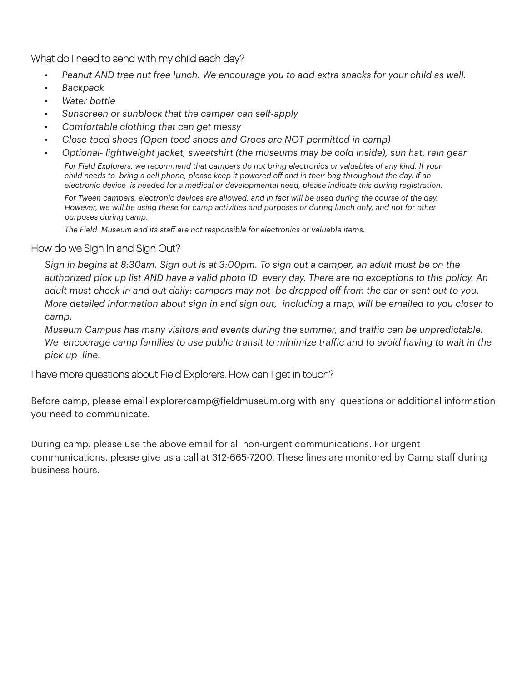What do I need to send with my child each day?

- *• Peanut AND tree nut free lunch. We encourage you to add extra snacks for your child as well.*
- *• Backpack*
- *• Water bottle*
- *• Sunscreen or sunblock that the camper can self-apply*
- *• Comfortable clothing that can get messy*
- *• Close-toed shoes (Open toed shoes and Crocs are NOT permitted in camp)*
- *• Optional- lightweight jacket, sweatshirt (the museums may be cold inside), sun hat, rain gear*

*For Field Explorers, we recommend that campers do not bring electronics or valuables of any kind. If your child needs to bring a cell phone, please keep it powered off and in their bag throughout the day. If an electronic device is needed for a medical or developmental need, please indicate this during registration.* 

*For Tween campers, electronic devices are allowed, and in fact will be used during the course of the day. However, we will be using these for camp activities and purposes or during lunch only, and not for other purposes during camp.* 

*The Field Museum and its staff are not responsible for electronics or valuable items.* 

#### How do we Sign In and Sign Out?

*Sign in begins at 8:30am. Sign out is at 3:00pm. To sign out a camper, an adult must be on the authorized pick up list AND have a valid photo ID every day. There are no exceptions to this policy. An adult must check in and out daily: campers may not be dropped off from the car or sent out to you. More detailed information about sign in and sign out, including a map, will be emailed to you closer to camp.* 

*Museum Campus has many visitors and events during the summer, and traffic can be unpredictable. We encourage camp families to use public transit to minimize traffic and to avoid having to wait in the pick up line.* 

#### I have more questions about Field Explorers. How can I get in touch?

Before camp, please email explorercamp@fieldmuseum.org with any questions or additional information you need to communicate.

During camp, please use the above email for all non-urgent communications. For urgent communications, please give us a call at 312-665-7200. These lines are monitored by Camp staff during business hours.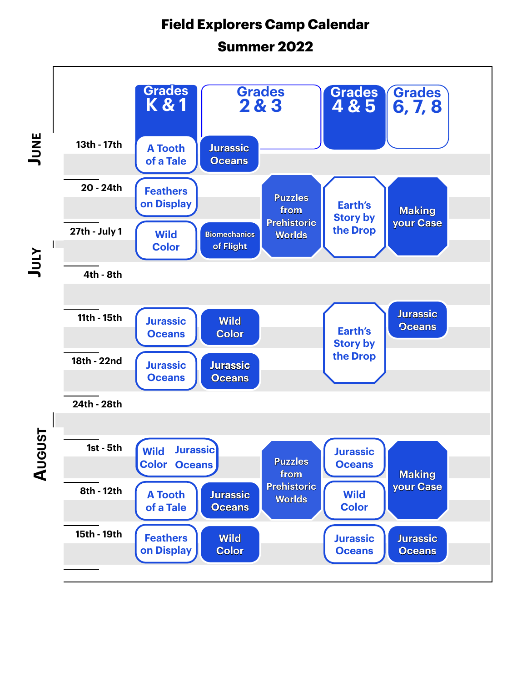## **Field Explorers Camp Calendar**

## **Summer 2022**